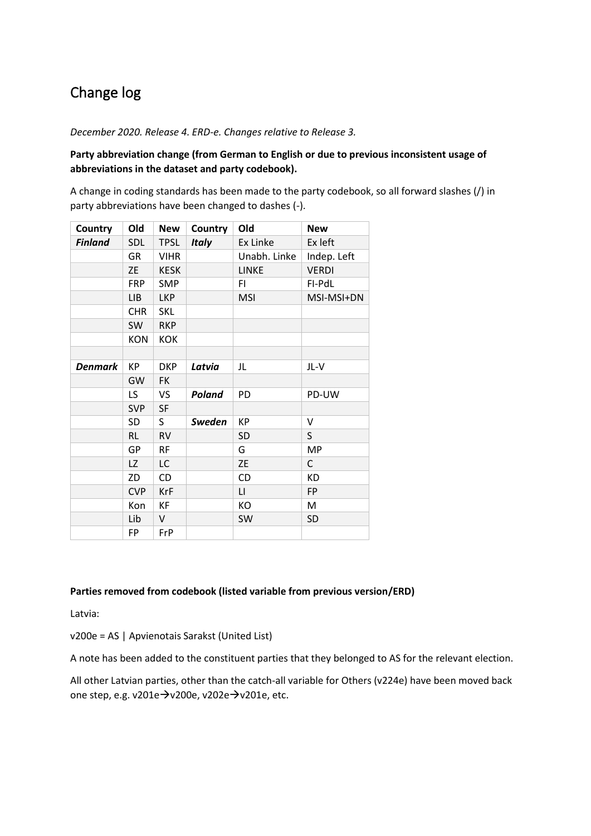# Change log

*December 2020. Release 4. ERD-e. Changes relative to Release 3.*

# **Party abbreviation change (from German to English or due to previous inconsistent usage of abbreviations in the dataset and party codebook).**

A change in coding standards has been made to the party codebook, so all forward slashes (/) in party abbreviations have been changed to dashes (-).

| Country        | Old        | <b>New</b>  | Country       | Old                    | <b>New</b>   |
|----------------|------------|-------------|---------------|------------------------|--------------|
| <b>Finland</b> | <b>SDL</b> | <b>TPSL</b> | <b>Italy</b>  | Ex Linke               | Ex left      |
|                | GR         | <b>VIHR</b> |               | Unabh. Linke           | Indep. Left  |
|                | <b>ZE</b>  | <b>KESK</b> |               | LINKE                  | <b>VERDI</b> |
|                | <b>FRP</b> | <b>SMP</b>  |               | FI                     | FI-PdL       |
|                | <b>LIB</b> | <b>LKP</b>  |               | <b>MSI</b>             | MSI-MSI+DN   |
|                | <b>CHR</b> | <b>SKL</b>  |               |                        |              |
|                | SW         | <b>RKP</b>  |               |                        |              |
|                | <b>KON</b> | <b>KOK</b>  |               |                        |              |
|                |            |             |               |                        |              |
| <b>Denmark</b> | КP         | <b>DKP</b>  | Latvia        | JL                     | JL-V         |
|                | GW         | <b>FK</b>   |               |                        |              |
|                | LS         | VS          | Poland        | PD                     | PD-UW        |
|                | <b>SVP</b> | <b>SF</b>   |               |                        |              |
|                | <b>SD</b>  | S.          | <b>Sweden</b> | KP                     | V            |
|                | <b>RL</b>  | <b>RV</b>   |               | <b>SD</b>              | S            |
|                | GP         | <b>RF</b>   |               | G                      | <b>MP</b>    |
|                | LZ         | LC          |               | <b>ZE</b>              | C            |
|                | ZD         | CD          |               | CD                     | <b>KD</b>    |
|                | <b>CVP</b> | <b>KrF</b>  |               | $\mathsf{L}\mathsf{L}$ | FP           |
|                | Kon        | КF          |               | KO                     | M            |
|                | Lib        | V           |               | SW                     | <b>SD</b>    |
|                | FP         | FrP         |               |                        |              |

# **Parties removed from codebook (listed variable from previous version/ERD)**

Latvia:

v200e = AS | Apvienotais Sarakst (United List)

A note has been added to the constituent parties that they belonged to AS for the relevant election.

All other Latvian parties, other than the catch-all variable for Others (v224e) have been moved back one step, e.g. v201e→v200e, v202e→v201e, etc.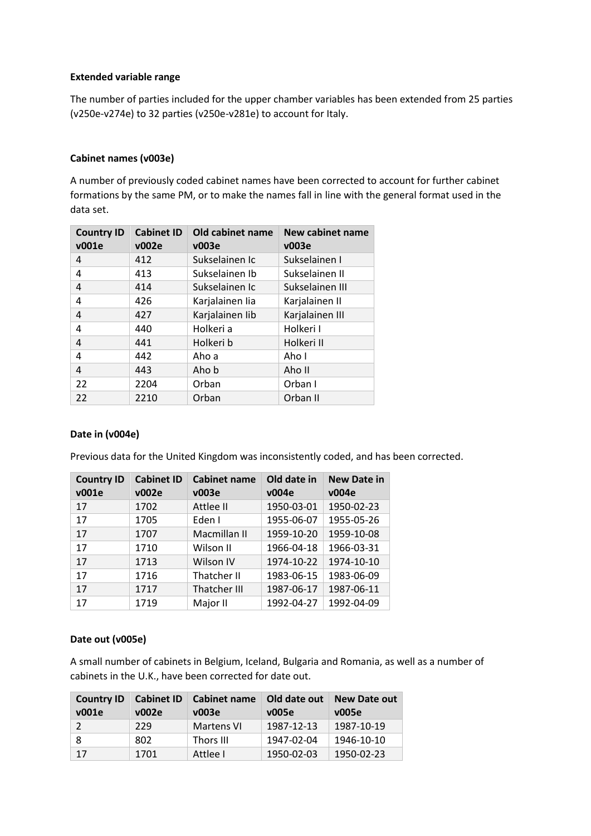# **Extended variable range**

The number of parties included for the upper chamber variables has been extended from 25 parties (v250e-v274e) to 32 parties (v250e-v281e) to account for Italy.

# **Cabinet names (v003e)**

A number of previously coded cabinet names have been corrected to account for further cabinet formations by the same PM, or to make the names fall in line with the general format used in the data set.

| <b>Country ID</b><br>v001e | <b>Cabinet ID</b><br>v002e | Old cabinet name<br>v003e | <b>New cabinet name</b><br>v003e |
|----------------------------|----------------------------|---------------------------|----------------------------------|
| 4                          | 412                        | Sukselainen Ic            | Sukselainen I                    |
| 4                          | 413                        | Sukselainen Ib            | Sukselainen II                   |
| 4                          | 414                        | Sukselainen Ic            | Sukselainen III                  |
| 4                          | 426                        | Karjalainen lia           | Karjalainen II                   |
| 4                          | 427                        | Karjalainen lib           | Karjalainen III                  |
| 4                          | 440                        | Holkeri a                 | Holkeri I                        |
| 4                          | 441                        | Holkeri b                 | Holkeri II                       |
| 4                          | 442                        | Aho a                     | Aho I                            |
| 4                          | 443                        | Aho b                     | Aho II                           |
| 22                         | 2204                       | Orban                     | Orban I                          |
| 22                         | 2210                       | Orban                     | Orban II                         |

## **Date in (v004e)**

Previous data for the United Kingdom was inconsistently coded, and has been corrected.

| <b>Country ID</b><br>v001e | <b>Cabinet ID</b><br>v002e | <b>Cabinet name</b><br>v003e | Old date in<br>v004e | <b>New Date in</b><br>v004e |
|----------------------------|----------------------------|------------------------------|----------------------|-----------------------------|
| 17                         | 1702                       | Attlee II                    | 1950-03-01           | 1950-02-23                  |
| 17                         | 1705                       | Eden I                       | 1955-06-07           | 1955-05-26                  |
| 17                         | 1707                       | Macmillan II                 | 1959-10-20           | 1959-10-08                  |
| 17                         | 1710                       | Wilson II                    | 1966-04-18           | 1966-03-31                  |
| 17                         | 1713                       | Wilson IV                    | 1974-10-22           | 1974-10-10                  |
| 17                         | 1716                       | Thatcher II                  | 1983-06-15           | 1983-06-09                  |
| 17                         | 1717                       | <b>Thatcher III</b>          | 1987-06-17           | 1987-06-11                  |
| 17                         | 1719                       | Major II                     | 1992-04-27           | 1992-04-09                  |

# **Date out (v005e)**

A small number of cabinets in Belgium, Iceland, Bulgaria and Romania, as well as a number of cabinets in the U.K., have been corrected for date out.

| <b>Country ID</b><br>v001e | <b>Cabinet ID</b><br>v002e | Cabinet name<br>v003e | Old date out<br>v005e | <b>New Date out</b><br>v005e |
|----------------------------|----------------------------|-----------------------|-----------------------|------------------------------|
|                            | 229                        | <b>Martens VI</b>     | 1987-12-13            | 1987-10-19                   |
|                            | 802                        | Thors III             | 1947-02-04            | 1946-10-10                   |
| 17                         | 1701                       | Attlee I              | 1950-02-03            | 1950-02-23                   |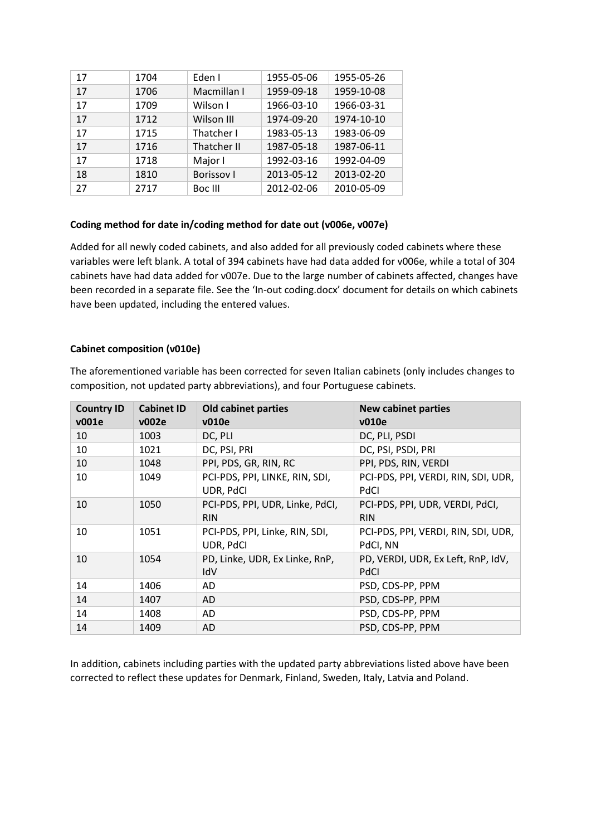| 17 | 1704 | Eden I            | 1955-05-06 | 1955-05-26 |
|----|------|-------------------|------------|------------|
| 17 | 1706 | Macmillan I       | 1959-09-18 | 1959-10-08 |
| 17 | 1709 | Wilson I          | 1966-03-10 | 1966-03-31 |
| 17 | 1712 | Wilson III        | 1974-09-20 | 1974-10-10 |
| 17 | 1715 | Thatcher I        | 1983-05-13 | 1983-06-09 |
| 17 | 1716 | Thatcher II       | 1987-05-18 | 1987-06-11 |
| 17 | 1718 | Major I           | 1992-03-16 | 1992-04-09 |
| 18 | 1810 | <b>Borissov I</b> | 2013-05-12 | 2013-02-20 |
| 27 | 2717 | Boc III           | 2012-02-06 | 2010-05-09 |
|    |      |                   |            |            |

## **Coding method for date in/coding method for date out (v006e, v007e)**

Added for all newly coded cabinets, and also added for all previously coded cabinets where these variables were left blank. A total of 394 cabinets have had data added for v006e, while a total of 304 cabinets have had data added for v007e. Due to the large number of cabinets affected, changes have been recorded in a separate file. See the 'In-out coding.docx' document for details on which cabinets have been updated, including the entered values.

## **Cabinet composition (v010e)**

The aforementioned variable has been corrected for seven Italian cabinets (only includes changes to composition, not updated party abbreviations), and four Portuguese cabinets.

| <b>Country ID</b><br>v001e | <b>Cabinet ID</b><br>v002e | <b>Old cabinet parties</b><br>v010e           | <b>New cabinet parties</b><br>v010e                |
|----------------------------|----------------------------|-----------------------------------------------|----------------------------------------------------|
| 10                         | 1003                       | DC, PLI                                       | DC, PLI, PSDI                                      |
| 10                         | 1021                       | DC, PSI, PRI                                  | DC, PSI, PSDI, PRI                                 |
| 10                         | 1048                       | PPI, PDS, GR, RIN, RC                         | PPI, PDS, RIN, VERDI                               |
| 10                         | 1049                       | PCI-PDS, PPI, LINKE, RIN, SDI,<br>UDR, PdCI   | PCI-PDS, PPI, VERDI, RIN, SDI, UDR,<br><b>PdCI</b> |
| 10                         | 1050                       | PCI-PDS, PPI, UDR, Linke, PdCI,<br><b>RIN</b> | PCI-PDS, PPI, UDR, VERDI, PdCI,<br><b>RIN</b>      |
| 10                         | 1051                       | PCI-PDS, PPI, Linke, RIN, SDI,<br>UDR, PdCI   | PCI-PDS, PPI, VERDI, RIN, SDI, UDR,<br>PdCI, NN    |
| 10                         | 1054                       | PD, Linke, UDR, Ex Linke, RnP,<br>IdV         | PD, VERDI, UDR, Ex Left, RnP, IdV,<br>PdCI         |
| 14                         | 1406                       | AD                                            | PSD, CDS-PP, PPM                                   |
| 14                         | 1407                       | AD                                            | PSD, CDS-PP, PPM                                   |
| 14                         | 1408                       | AD                                            | PSD, CDS-PP, PPM                                   |
| 14                         | 1409                       | AD                                            | PSD, CDS-PP, PPM                                   |

In addition, cabinets including parties with the updated party abbreviations listed above have been corrected to reflect these updates for Denmark, Finland, Sweden, Italy, Latvia and Poland.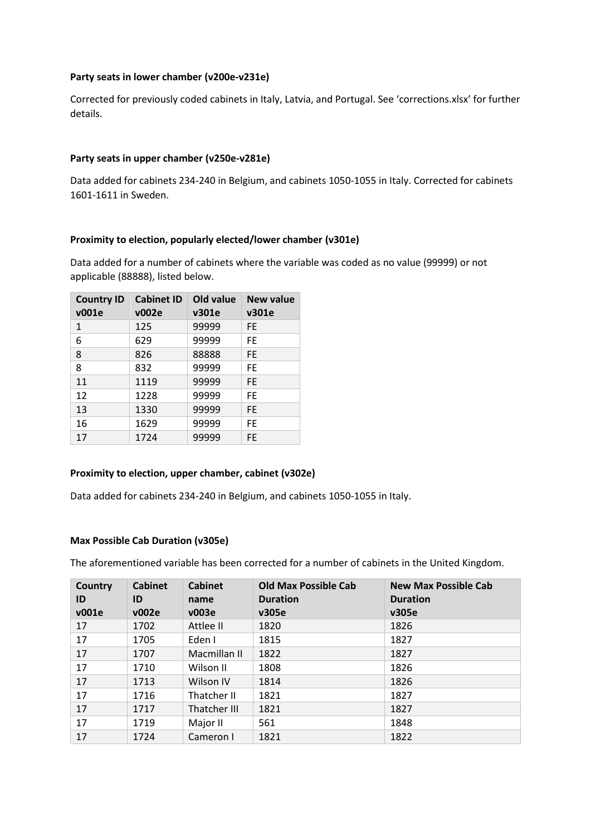# **Party seats in lower chamber (v200e-v231e)**

Corrected for previously coded cabinets in Italy, Latvia, and Portugal. See 'corrections.xlsx' for further details.

# **Party seats in upper chamber (v250e-v281e)**

Data added for cabinets 234-240 in Belgium, and cabinets 1050-1055 in Italy. Corrected for cabinets 1601-1611 in Sweden.

# **Proximity to election, popularly elected/lower chamber (v301e)**

Data added for a number of cabinets where the variable was coded as no value (99999) or not applicable (88888), listed below.

| <b>Country ID</b><br>v001e | <b>Cabinet ID</b><br>v002e | Old value<br>v301e | New value<br>v301e |
|----------------------------|----------------------------|--------------------|--------------------|
| 1                          | 125                        | 99999              | FF.                |
| 6                          | 629                        | 99999              | FF.                |
| 8                          | 826                        | 88888              | <b>FE</b>          |
| 8                          | 832                        | 99999              | FF.                |
| 11                         | 1119                       | 99999              | <b>FE</b>          |
| 12                         | 1228                       | 99999              | FF                 |
| 13                         | 1330                       | 99999              | FF.                |
| 16                         | 1629                       | 99999              | FF.                |
| 17                         | 1724                       | 99999              | FE.                |

## **Proximity to election, upper chamber, cabinet (v302e)**

Data added for cabinets 234-240 in Belgium, and cabinets 1050-1055 in Italy.

## **Max Possible Cab Duration (v305e)**

The aforementioned variable has been corrected for a number of cabinets in the United Kingdom.

| <b>Country</b> | <b>Cabinet</b> | <b>Cabinet</b> | <b>Old Max Possible Cab</b> | New Max Possible Cab |
|----------------|----------------|----------------|-----------------------------|----------------------|
| ID             | ID             | name           | <b>Duration</b>             | <b>Duration</b>      |
| v001e          | v002e          | v003e          | v305e                       | v305e                |
| 17             | 1702           | Attlee II      | 1820                        | 1826                 |
| 17             | 1705           | Eden I         | 1815                        | 1827                 |
| 17             | 1707           | Macmillan II   | 1822                        | 1827                 |
| 17             | 1710           | Wilson II      | 1808                        | 1826                 |
| 17             | 1713           | Wilson IV      | 1814                        | 1826                 |
| 17             | 1716           | Thatcher II    | 1821                        | 1827                 |
| 17             | 1717           | Thatcher III   | 1821                        | 1827                 |
| 17             | 1719           | Major II       | 561                         | 1848                 |
| 17             | 1724           | Cameron I      | 1821                        | 1822                 |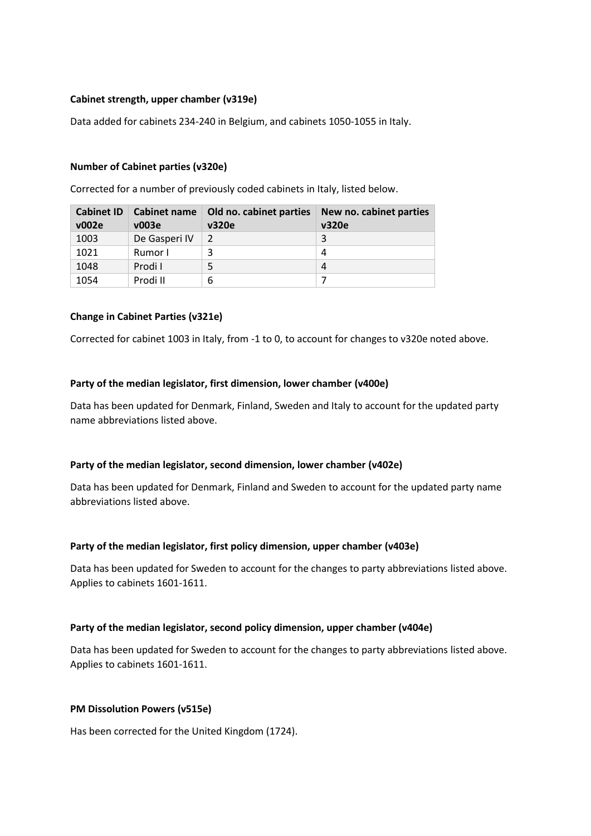# **Cabinet strength, upper chamber (v319e)**

Data added for cabinets 234-240 in Belgium, and cabinets 1050-1055 in Italy.

## **Number of Cabinet parties (v320e)**

Corrected for a number of previously coded cabinets in Italy, listed below.

| <b>Cabinet ID</b><br>v002e | Cabinet name<br>v003e | Old no. cabinet parties<br>v320e | New no. cabinet parties<br>v320e |
|----------------------------|-----------------------|----------------------------------|----------------------------------|
| 1003                       | De Gasperi IV         | 2                                | 3                                |
| 1021                       | Rumor I               |                                  | 4                                |
| 1048                       | Prodi I               | 5                                | 4                                |
| 1054                       | Prodi II              | 6                                |                                  |

## **Change in Cabinet Parties (v321e)**

Corrected for cabinet 1003 in Italy, from -1 to 0, to account for changes to v320e noted above.

#### **Party of the median legislator, first dimension, lower chamber (v400e)**

Data has been updated for Denmark, Finland, Sweden and Italy to account for the updated party name abbreviations listed above.

## **Party of the median legislator, second dimension, lower chamber (v402e)**

Data has been updated for Denmark, Finland and Sweden to account for the updated party name abbreviations listed above.

## **Party of the median legislator, first policy dimension, upper chamber (v403e)**

Data has been updated for Sweden to account for the changes to party abbreviations listed above. Applies to cabinets 1601-1611.

#### **Party of the median legislator, second policy dimension, upper chamber (v404e)**

Data has been updated for Sweden to account for the changes to party abbreviations listed above. Applies to cabinets 1601-1611.

## **PM Dissolution Powers (v515e)**

Has been corrected for the United Kingdom (1724).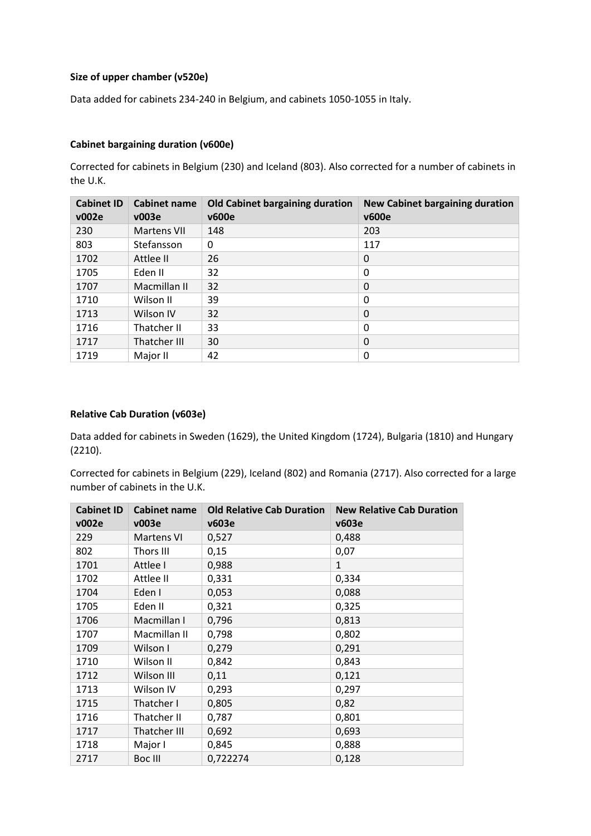# **Size of upper chamber (v520e)**

Data added for cabinets 234-240 in Belgium, and cabinets 1050-1055 in Italy.

# **Cabinet bargaining duration (v600e)**

Corrected for cabinets in Belgium (230) and Iceland (803). Also corrected for a number of cabinets in the U.K.

| <b>Cabinet ID</b><br>v002e | <b>Cabinet name</b><br>v003e | Old Cabinet bargaining duration<br><b>v600e</b> | <b>New Cabinet bargaining duration</b><br><b>v600e</b> |
|----------------------------|------------------------------|-------------------------------------------------|--------------------------------------------------------|
| 230                        | <b>Martens VII</b>           | 148                                             | 203                                                    |
| 803                        | Stefansson                   | 0                                               | 117                                                    |
| 1702                       | Attlee II                    | 26                                              | 0                                                      |
| 1705                       | Eden II                      | 32                                              | 0                                                      |
| 1707                       | Macmillan II                 | 32                                              | 0                                                      |
| 1710                       | Wilson II                    | 39                                              | 0                                                      |
| 1713                       | Wilson IV                    | 32                                              | 0                                                      |
| 1716                       | Thatcher II                  | 33                                              | 0                                                      |
| 1717                       | Thatcher III                 | 30                                              | 0                                                      |
| 1719                       | Major II                     | 42                                              | 0                                                      |

# **Relative Cab Duration (v603e)**

Data added for cabinets in Sweden (1629), the United Kingdom (1724), Bulgaria (1810) and Hungary (2210).

Corrected for cabinets in Belgium (229), Iceland (802) and Romania (2717). Also corrected for a large number of cabinets in the U.K.

| <b>Cabinet ID</b><br>v002e | <b>Cabinet name</b><br>v003e | <b>Old Relative Cab Duration</b><br>v603e | <b>New Relative Cab Duration</b><br>v603e |
|----------------------------|------------------------------|-------------------------------------------|-------------------------------------------|
| 229                        | <b>Martens VI</b>            | 0,527                                     | 0,488                                     |
| 802                        | Thors III                    | 0,15                                      | 0,07                                      |
| 1701                       | Attlee I                     | 0,988                                     | $\mathbf{1}$                              |
| 1702                       | Attlee II                    | 0,331                                     | 0,334                                     |
| 1704                       | Eden I                       | 0,053                                     | 0,088                                     |
| 1705                       | Eden II                      | 0,321                                     | 0,325                                     |
| 1706                       | Macmillan I                  | 0,796                                     | 0,813                                     |
| 1707                       | Macmillan II                 | 0,798                                     | 0,802                                     |
| 1709                       | Wilson I                     | 0,279                                     | 0,291                                     |
| 1710                       | Wilson II                    | 0,842                                     | 0,843                                     |
| 1712                       | Wilson III                   | 0,11                                      | 0,121                                     |
| 1713                       | Wilson IV                    | 0,293                                     | 0,297                                     |
| 1715                       | Thatcher I                   | 0,805                                     | 0,82                                      |
| 1716                       | Thatcher II                  | 0,787                                     | 0,801                                     |
| 1717                       | Thatcher III                 | 0,692                                     | 0,693                                     |
| 1718                       | Major I                      | 0,845                                     | 0,888                                     |
| 2717                       | Boc III                      | 0,722274                                  | 0,128                                     |